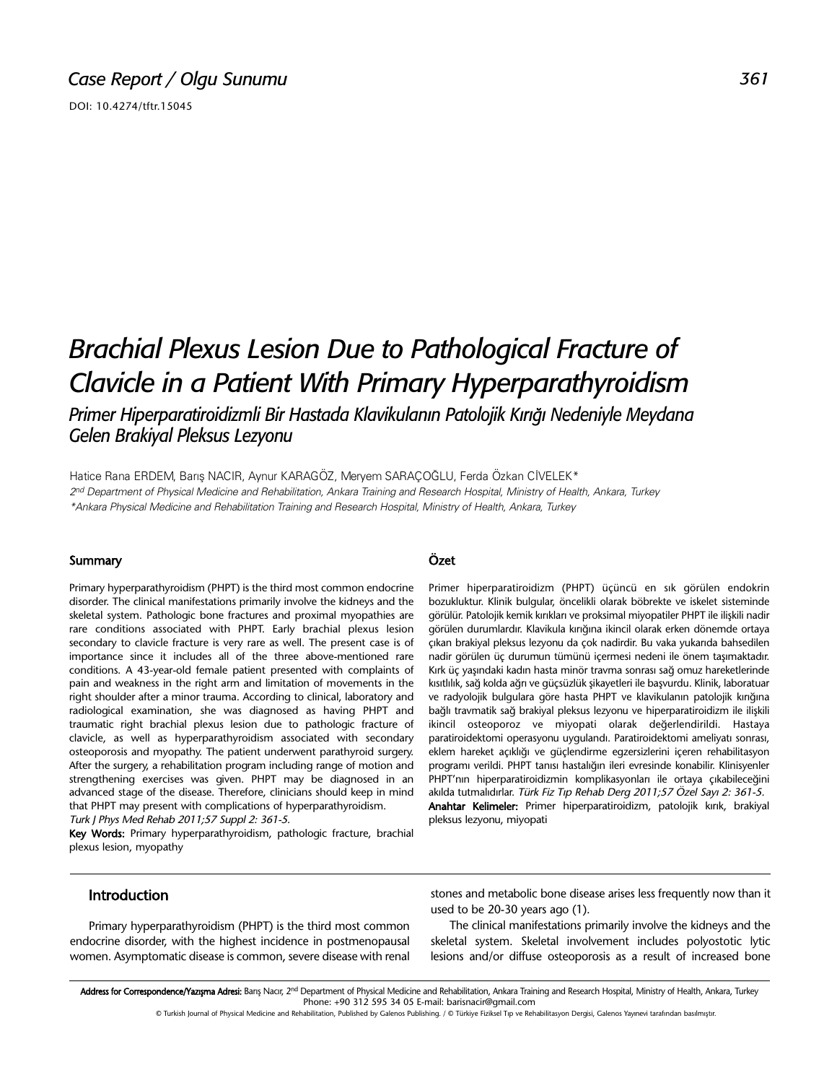DOI: 10.4274/tftr.15045

# *Brachial Plexus Lesion Due to Pathological Fracture of Clavicle in a Patient With Primary Hyperparathyroidism Primer Hiperparatiroidizmli Bir Hastada Klavikulanın Patolojik Kırığı Nedeniyle Meydana*

*Gelen Brakiyal Pleksus Lezyonu*

Hatice Rana ERDEM, Barış NACIR, Aynur KARAGÖZ, Meryem SARAÇOĞLU, Ferda Özkan CİVELEK\* 2nd Department of Physical Medicine and Rehabilitation, Ankara Training and Research Hospital, Ministry of Health, Ankara, Turkey \*Ankara Physical Medicine and Rehabilitation Training and Research Hospital, Ministry of Health, Ankara, Turkey

#### **Summary**

Primary hyperparathyroidism (PHPT) is the third most common endocrine disorder. The clinical manifestations primarily involve the kidneys and the skeletal system. Pathologic bone fractures and proximal myopathies are rare conditions associated with PHPT. Early brachial plexus lesion secondary to clavicle fracture is very rare as well. The present case is of importance since it includes all of the three above-mentioned rare conditions. A 43-year-old female patient presented with complaints of pain and weakness in the right arm and limitation of movements in the right shoulder after a minor trauma. According to clinical, laboratory and radiological examination, she was diagnosed as having PHPT and traumatic right brachial plexus lesion due to pathologic fracture of clavicle, as well as hyperparathyroidism associated with secondary osteoporosis and myopathy. The patient underwent parathyroid surgery. After the surgery, a rehabilitation program including range of motion and strengthening exercises was given. PHPT may be diagnosed in an advanced stage of the disease. Therefore, clinicians should keep in mind that PHPT may present with complications of hyperparathyroidism.

Turk J Phys Med Rehab 2011;57 Suppl 2: 361-5.

Key Words: Primary hyperparathyroidism, pathologic fracture, brachial plexus lesion, myopathy

### Özet

Primer hiperparatiroidizm (PHPT) üçüncü en sık görülen endokrin bozukluktur. Klinik bulgular, öncelikli olarak böbrekte ve iskelet sisteminde görülür. Patolojik kemik kırıkları ve proksimal miyopatiler PHPT ile ilişkili nadir görülen durumlardır. Klavikula kırığına ikincil olarak erken dönemde ortaya çıkan brakiyal pleksus lezyonu da çok nadirdir. Bu vaka yukarıda bahsedilen nadir görülen üç durumun tümünü içermesi nedeni ile önem taşımaktadır. Kırk üç yaşındaki kadın hasta minör travma sonrası sağ omuz hareketlerinde kısıtlılık, sağ kolda ağrı ve güçsüzlük şikayetleri ile başvurdu. Klinik, laboratuar ve radyolojik bulgulara göre hasta PHPT ve klavikulanın patolojik kırığına bağlı travmatik sağ brakiyal pleksus lezyonu ve hiperparatiroidizm ile ilişkili ikincil osteoporoz ve miyopati olarak değerlendirildi. Hastaya paratiroidektomi operasyonu uygulandı. Paratiroidektomi ameliyatı sonrası, eklem hareket açıklığı ve güçlendirme egzersizlerini içeren rehabilitasyon programı verildi. PHPT tanısı hastalığın ileri evresinde konabilir. Klinisyenler PHPT'nın hiperparatiroidizmin komplikasyonları ile ortaya çıkabileceğini akılda tutmalıdırlar. Türk Fiz Tıp Rehab Derg 2011;57 Özel Sayı 2: 361-5. Anahtar Kelimeler: Primer hiperparatiroidizm, patolojik kırık, brakiyal pleksus lezyonu, miyopati

#### Introduction

Primary hyperparathyroidism (PHPT) is the third most common endocrine disorder, with the highest incidence in postmenopausal women. Asymptomatic disease is common, severe disease with renal stones and metabolic bone disease arises less frequently now than it used to be 20-30 years ago (1).

The clinical manifestations primarily involve the kidneys and the skeletal system. Skeletal involvement includes polyostotic lytic lesions and/or diffuse osteoporosis as a result of increased bone

Address for Correspondence/Yazışma Adresi: Barış Nacır, 2<sup>nd</sup> Department of Physical Medicine and Rehabilitation, Ankara Training and Research Hospital, Ministry of Health, Ankara, Turkey Phone: +90 312 595 34 05 E-mail: barisnacir@gmail.com

© Turkish Journal of Physical Medicine and Rehabilitation, Published by Galenos Publishing. / © Türkiye Fiziksel Tıp ve Rehabilitasyon Dergisi, Galenos Yayınevi tarafından basılmıştır.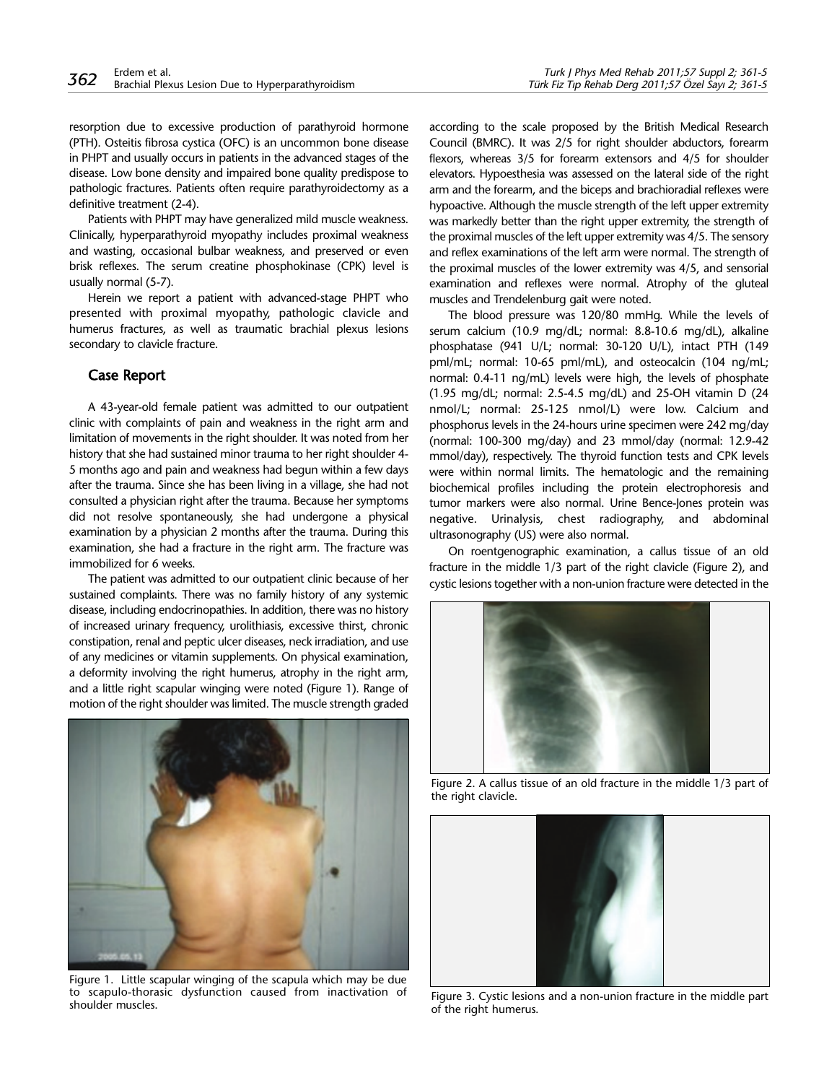resorption due to excessive production of parathyroid hormone (PTH). Osteitis fibrosa cystica (OFC) is an uncommon bone disease in PHPT and usually occurs in patients in the advanced stages of the disease. Low bone density and impaired bone quality predispose to pathologic fractures. Patients often require parathyroidectomy as a definitive treatment (2-4).

Patients with PHPT may have generalized mild muscle weakness. Clinically, hyperparathyroid myopathy includes proximal weakness and wasting, occasional bulbar weakness, and preserved or even brisk reflexes. The serum creatine phosphokinase (CPK) level is usually normal (5-7).

Herein we report a patient with advanced-stage PHPT who presented with proximal myopathy, pathologic clavicle and humerus fractures, as well as traumatic brachial plexus lesions secondary to clavicle fracture.

## Case Report

A 43-year-old female patient was admitted to our outpatient clinic with complaints of pain and weakness in the right arm and limitation of movements in the right shoulder. It was noted from her history that she had sustained minor trauma to her right shoulder 4- 5 months ago and pain and weakness had begun within a few days after the trauma. Since she has been living in a village, she had not consulted a physician right after the trauma. Because her symptoms did not resolve spontaneously, she had undergone a physical examination by a physician 2 months after the trauma. During this examination, she had a fracture in the right arm. The fracture was immobilized for 6 weeks.

The patient was admitted to our outpatient clinic because of her sustained complaints. There was no family history of any systemic disease, including endocrinopathies. In addition, there was no history of increased urinary frequency, urolithiasis, excessive thirst, chronic constipation, renal and peptic ulcer diseases, neck irradiation, and use of any medicines or vitamin supplements. On physical examination, a deformity involving the right humerus, atrophy in the right arm, and a little right scapular winging were noted (Figure 1). Range of motion of the right shoulder was limited. The muscle strength graded



Figure 1. Little scapular winging of the scapula which may be due to scapulo-thorasic dysfunction caused from inactivation of shoulder muscles.

according to the scale proposed by the British Medical Research Council (BMRC). It was 2/5 for right shoulder abductors, forearm flexors, whereas 3/5 for forearm extensors and 4/5 for shoulder elevators. Hypoesthesia was assessed on the lateral side of the right arm and the forearm, and the biceps and brachioradial reflexes were hypoactive. Although the muscle strength of the left upper extremity was markedly better than the right upper extremity, the strength of the proximal muscles of the left upper extremity was 4/5. The sensory and reflex examinations of the left arm were normal. The strength of the proximal muscles of the lower extremity was 4/5, and sensorial examination and reflexes were normal. Atrophy of the gluteal muscles and Trendelenburg gait were noted.

The blood pressure was 120/80 mmHg. While the levels of serum calcium (10.9 mg/dL; normal: 8.8-10.6 mg/dL), alkaline phosphatase (941 U/L; normal: 30-120 U/L), intact PTH (149 pml/mL; normal: 10-65 pml/mL), and osteocalcin (104 ng/mL; normal: 0.4-11 ng/mL) levels were high, the levels of phosphate (1.95 mg/dL; normal: 2.5-4.5 mg/dL) and 25-OH vitamin D (24 nmol/L; normal: 25-125 nmol/L) were low. Calcium and phosphorus levels in the 24-hours urine specimen were 242 mg/day (normal: 100-300 mg/day) and 23 mmol/day (normal: 12.9-42 mmol/day), respectively. The thyroid function tests and CPK levels were within normal limits. The hematologic and the remaining biochemical profiles including the protein electrophoresis and tumor markers were also normal. Urine Bence-Jones protein was negative. Urinalysis, chest radiography, and abdominal ultrasonography (US) were also normal.

On roentgenographic examination, a callus tissue of an old fracture in the middle 1/3 part of the right clavicle (Figure 2), and cystic lesions together with a non-union fracture were detected in the



Figure 2. A callus tissue of an old fracture in the middle 1/3 part of the right clavicle.



Figure 3. Cystic lesions and a non-union fracture in the middle part of the right humerus.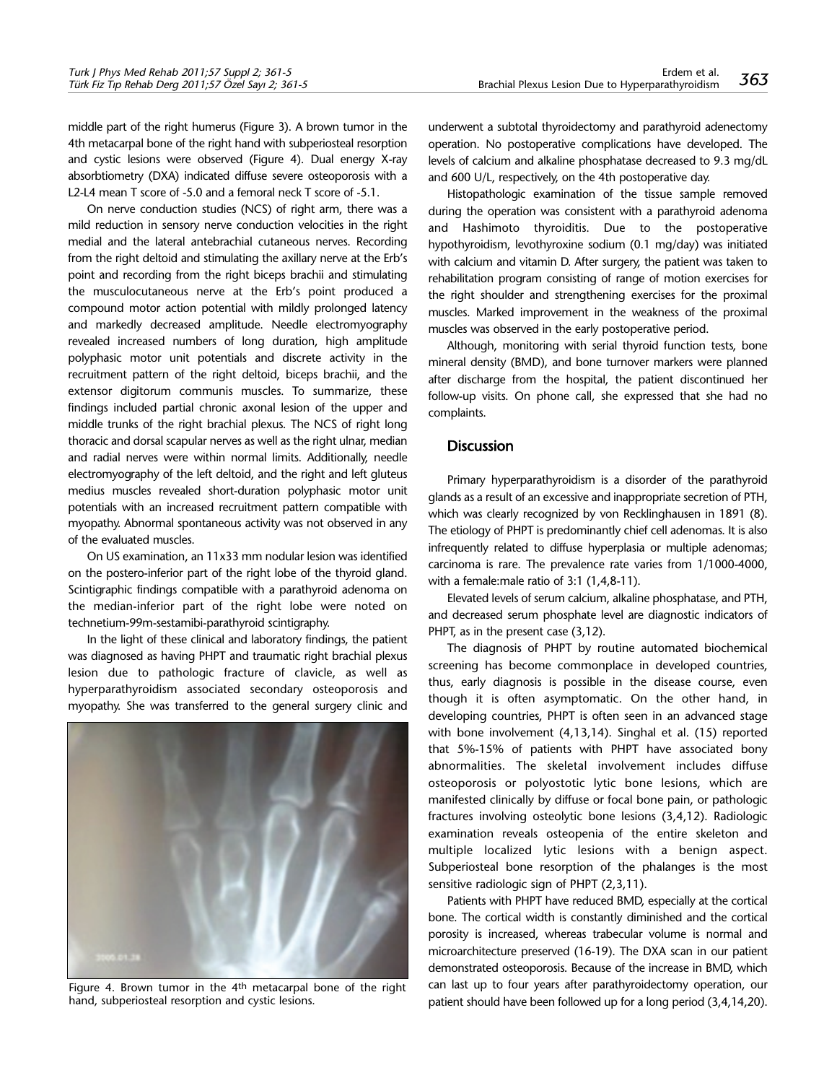middle part of the right humerus (Figure 3). A brown tumor in the 4th metacarpal bone of the right hand with subperiosteal resorption and cystic lesions were observed (Figure 4). Dual energy X-ray absorbtiometry (DXA) indicated diffuse severe osteoporosis with a L2-L4 mean T score of -5.0 and a femoral neck T score of -5.1.

On nerve conduction studies (NCS) of right arm, there was a mild reduction in sensory nerve conduction velocities in the right medial and the lateral antebrachial cutaneous nerves. Recording from the right deltoid and stimulating the axillary nerve at the Erb's point and recording from the right biceps brachii and stimulating the musculocutaneous nerve at the Erb's point produced a compound motor action potential with mildly prolonged latency and markedly decreased amplitude. Needle electromyography revealed increased numbers of long duration, high amplitude polyphasic motor unit potentials and discrete activity in the recruitment pattern of the right deltoid, biceps brachii, and the extensor digitorum communis muscles. To summarize, these findings included partial chronic axonal lesion of the upper and middle trunks of the right brachial plexus. The NCS of right long thoracic and dorsal scapular nerves as well as the right ulnar, median and radial nerves were within normal limits. Additionally, needle electromyography of the left deltoid, and the right and left gluteus medius muscles revealed short-duration polyphasic motor unit potentials with an increased recruitment pattern compatible with myopathy. Abnormal spontaneous activity was not observed in any of the evaluated muscles.

On US examination, an 11x33 mm nodular lesion was identified on the postero-inferior part of the right lobe of the thyroid gland. Scintigraphic findings compatible with a parathyroid adenoma on the median-inferior part of the right lobe were noted on technetium-99m-sestamibi-parathyroid scintigraphy.

In the light of these clinical and laboratory findings, the patient was diagnosed as having PHPT and traumatic right brachial plexus lesion due to pathologic fracture of clavicle, as well as hyperparathyroidism associated secondary osteoporosis and myopathy. She was transferred to the general surgery clinic and



Figure 4. Brown tumor in the 4<sup>th</sup> metacarpal bone of the right hand, subperiosteal resorption and cystic lesions.

underwent a subtotal thyroidectomy and parathyroid adenectomy operation. No postoperative complications have developed. The levels of calcium and alkaline phosphatase decreased to 9.3 mg/dL and 600 U/L, respectively, on the 4th postoperative day.

Histopathologic examination of the tissue sample removed during the operation was consistent with a parathyroid adenoma and Hashimoto thyroiditis. Due to the postoperative hypothyroidism, levothyroxine sodium (0.1 mg/day) was initiated with calcium and vitamin D. After surgery, the patient was taken to rehabilitation program consisting of range of motion exercises for the right shoulder and strengthening exercises for the proximal muscles. Marked improvement in the weakness of the proximal muscles was observed in the early postoperative period.

Although, monitoring with serial thyroid function tests, bone mineral density (BMD), and bone turnover markers were planned after discharge from the hospital, the patient discontinued her follow-up visits. On phone call, she expressed that she had no complaints.

### **Discussion**

Primary hyperparathyroidism is a disorder of the parathyroid glands as a result of an excessive and inappropriate secretion of PTH, which was clearly recognized by von Recklinghausen in 1891 (8). The etiology of PHPT is predominantly chief cell adenomas. It is also infrequently related to diffuse hyperplasia or multiple adenomas; carcinoma is rare. The prevalence rate varies from 1/1000-4000, with a female:male ratio of 3:1 (1,4,8-11).

Elevated levels of serum calcium, alkaline phosphatase, and PTH, and decreased serum phosphate level are diagnostic indicators of PHPT, as in the present case (3.12).

The diagnosis of PHPT by routine automated biochemical screening has become commonplace in developed countries, thus, early diagnosis is possible in the disease course, even though it is often asymptomatic. On the other hand, in developing countries, PHPT is often seen in an advanced stage with bone involvement (4,13,14). Singhal et al. (15) reported that 5%-15% of patients with PHPT have associated bony abnormalities. The skeletal involvement includes diffuse osteoporosis or polyostotic lytic bone lesions, which are manifested clinically by diffuse or focal bone pain, or pathologic fractures involving osteolytic bone lesions (3,4,12). Radiologic examination reveals osteopenia of the entire skeleton and multiple localized lytic lesions with a benign aspect. Subperiosteal bone resorption of the phalanges is the most sensitive radiologic sign of PHPT (2,3,11).

Patients with PHPT have reduced BMD, especially at the cortical bone. The cortical width is constantly diminished and the cortical porosity is increased, whereas trabecular volume is normal and microarchitecture preserved (16-19). The DXA scan in our patient demonstrated osteoporosis. Because of the increase in BMD, which can last up to four years after parathyroidectomy operation, our patient should have been followed up for a long period (3,4,14,20).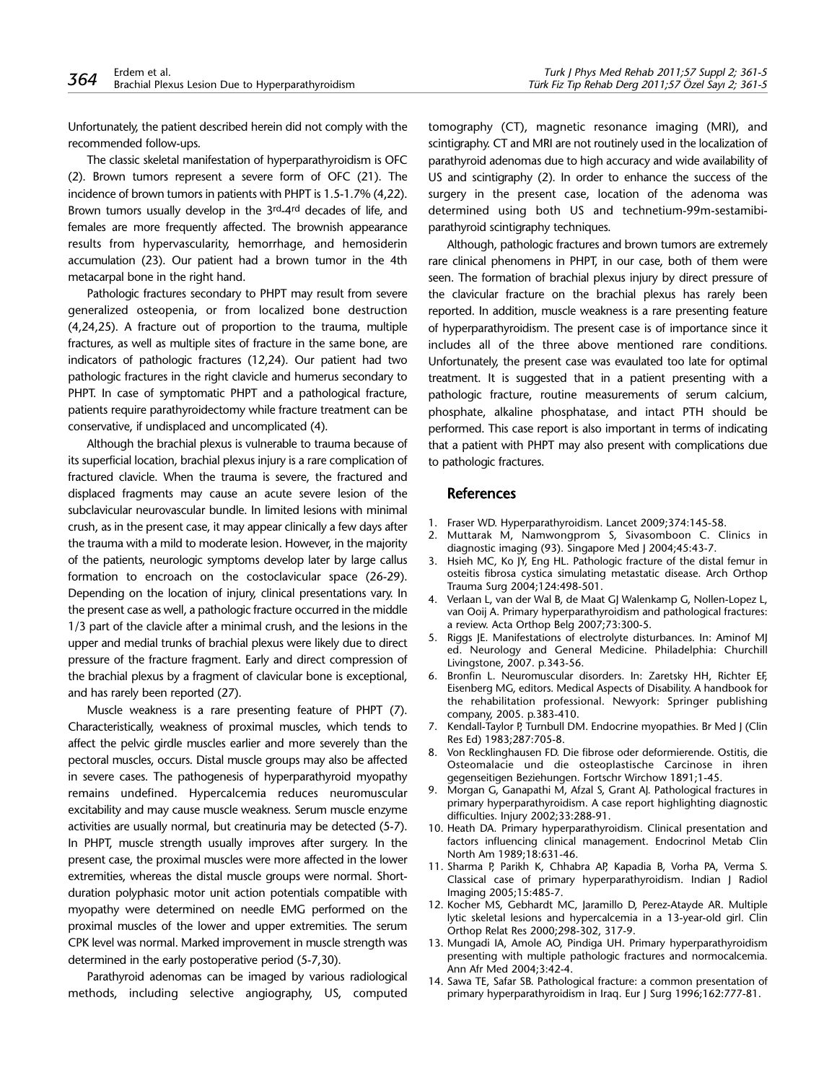Unfortunately, the patient described herein did not comply with the recommended follow-ups.

The classic skeletal manifestation of hyperparathyroidism is OFC (2). Brown tumors represent a severe form of OFC (21). The incidence of brown tumors in patients with PHPT is 1.5-1.7% (4,22). Brown tumors usually develop in the 3rd-4rd decades of life, and females are more frequently affected. The brownish appearance results from hypervascularity, hemorrhage, and hemosiderin accumulation (23). Our patient had a brown tumor in the 4th metacarpal bone in the right hand.

Pathologic fractures secondary to PHPT may result from severe generalized osteopenia, or from localized bone destruction (4,24,25). A fracture out of proportion to the trauma, multiple fractures, as well as multiple sites of fracture in the same bone, are indicators of pathologic fractures (12,24). Our patient had two pathologic fractures in the right clavicle and humerus secondary to PHPT. In case of symptomatic PHPT and a pathological fracture, patients require parathyroidectomy while fracture treatment can be conservative, if undisplaced and uncomplicated (4).

Although the brachial plexus is vulnerable to trauma because of its superficial location, brachial plexus injury is a rare complication of fractured clavicle. When the trauma is severe, the fractured and displaced fragments may cause an acute severe lesion of the subclavicular neurovascular bundle. In limited lesions with minimal crush, as in the present case, it may appear clinically a few days after the trauma with a mild to moderate lesion. However, in the majority of the patients, neurologic symptoms develop later by large callus formation to encroach on the costoclavicular space (26-29). Depending on the location of injury, clinical presentations vary. In the present case as well, a pathologic fracture occurred in the middle 1/3 part of the clavicle after a minimal crush, and the lesions in the upper and medial trunks of brachial plexus were likely due to direct pressure of the fracture fragment. Early and direct compression of the brachial plexus by a fragment of clavicular bone is exceptional, and has rarely been reported (27).

Muscle weakness is a rare presenting feature of PHPT (7). Characteristically, weakness of proximal muscles, which tends to affect the pelvic girdle muscles earlier and more severely than the pectoral muscles, occurs. Distal muscle groups may also be affected in severe cases. The pathogenesis of hyperparathyroid myopathy remains undefined. Hypercalcemia reduces neuromuscular excitability and may cause muscle weakness. Serum muscle enzyme activities are usually normal, but creatinuria may be detected (5-7). In PHPT, muscle strength usually improves after surgery. In the present case, the proximal muscles were more affected in the lower extremities, whereas the distal muscle groups were normal. Shortduration polyphasic motor unit action potentials compatible with myopathy were determined on needle EMG performed on the proximal muscles of the lower and upper extremities. The serum CPK level was normal. Marked improvement in muscle strength was determined in the early postoperative period (5-7,30).

Parathyroid adenomas can be imaged by various radiological methods, including selective angiography, US, computed tomography (CT), magnetic resonance imaging (MRI), and scintigraphy. CT and MRI are not routinely used in the localization of parathyroid adenomas due to high accuracy and wide availability of US and scintigraphy (2). In order to enhance the success of the surgery in the present case, location of the adenoma was determined using both US and technetium-99m-sestamibiparathyroid scintigraphy techniques.

Although, pathologic fractures and brown tumors are extremely rare clinical phenomens in PHPT, in our case, both of them were seen. The formation of brachial plexus injury by direct pressure of the clavicular fracture on the brachial plexus has rarely been reported. In addition, muscle weakness is a rare presenting feature of hyperparathyroidism. The present case is of importance since it includes all of the three above mentioned rare conditions. Unfortunately, the present case was evaulated too late for optimal treatment. It is suggested that in a patient presenting with a pathologic fracture, routine measurements of serum calcium, phosphate, alkaline phosphatase, and intact PTH should be performed. This case report is also important in terms of indicating that a patient with PHPT may also present with complications due to pathologic fractures.

#### References

- 1. Fraser WD. Hyperparathyroidism. Lancet 2009;374:145-58.
- 2. Muttarak M, Namwongprom S, Sivasomboon C. Clinics in diagnostic imaging (93). Singapore Med J 2004;45:43-7.
- 3. Hsieh MC, Ko JY, Eng HL. Pathologic fracture of the distal femur in osteitis fibrosa cystica simulating metastatic disease. Arch Orthop Trauma Surg 2004;124:498-501.
- 4. Verlaan L, van der Wal B, de Maat GJ Walenkamp G, Nollen-Lopez L, van Ooij A. Primary hyperparathyroidism and pathological fractures: a review. Acta Orthop Belg 2007;73:300-5.
- 5. Riggs JE. Manifestations of electrolyte disturbances. In: Aminof MJ ed. Neurology and General Medicine. Philadelphia: Churchill Livingstone, 2007. p.343-56.
- 6. Bronfin L. Neuromuscular disorders. In: Zaretsky HH, Richter EF, Eisenberg MG, editors. Medical Aspects of Disability. A handbook for the rehabilitation professional. Newyork: Springer publishing company, 2005. p.383-410.
- 7. Kendall-Taylor P, Turnbull DM. Endocrine myopathies. Br Med J (Clin Res Ed) 1983;287:705-8.
- 8. Von Recklinghausen FD. Die fibrose oder deformierende. Ostitis, die Osteomalacie und die osteoplastische Carcinose in ihren gegenseitigen Beziehungen. Fortschr Wirchow 1891;1-45.
- Morgan G, Ganapathi M, Afzal S, Grant AJ. Pathological fractures in primary hyperparathyroidism. A case report highlighting diagnostic difficulties. Injury 2002;33:288-91.
- 10. Heath DA. Primary hyperparathyroidism. Clinical presentation and factors influencing clinical management. Endocrinol Metab Clin North Am 1989;18:631-46.
- 11. Sharma P, Parikh K, Chhabra AP, Kapadia B, Vorha PA, Verma S. Classical case of primary hyperparathyroidism. Indian J Radiol Imaging 2005;15:485-7.
- 12. Kocher MS, Gebhardt MC, Jaramillo D, Perez-Atayde AR. Multiple lytic skeletal lesions and hypercalcemia in a 13-year-old girl. Clin Orthop Relat Res 2000;298-302, 317-9.
- 13. Mungadi IA, Amole AO, Pindiga UH. Primary hyperparathyroidism presenting with multiple pathologic fractures and normocalcemia. Ann Afr Med 2004;3:42-4.
- 14. Sawa TE, Safar SB. Pathological fracture: a common presentation of primary hyperparathyroidism in Iraq. Eur J Surg 1996;162:777-81.